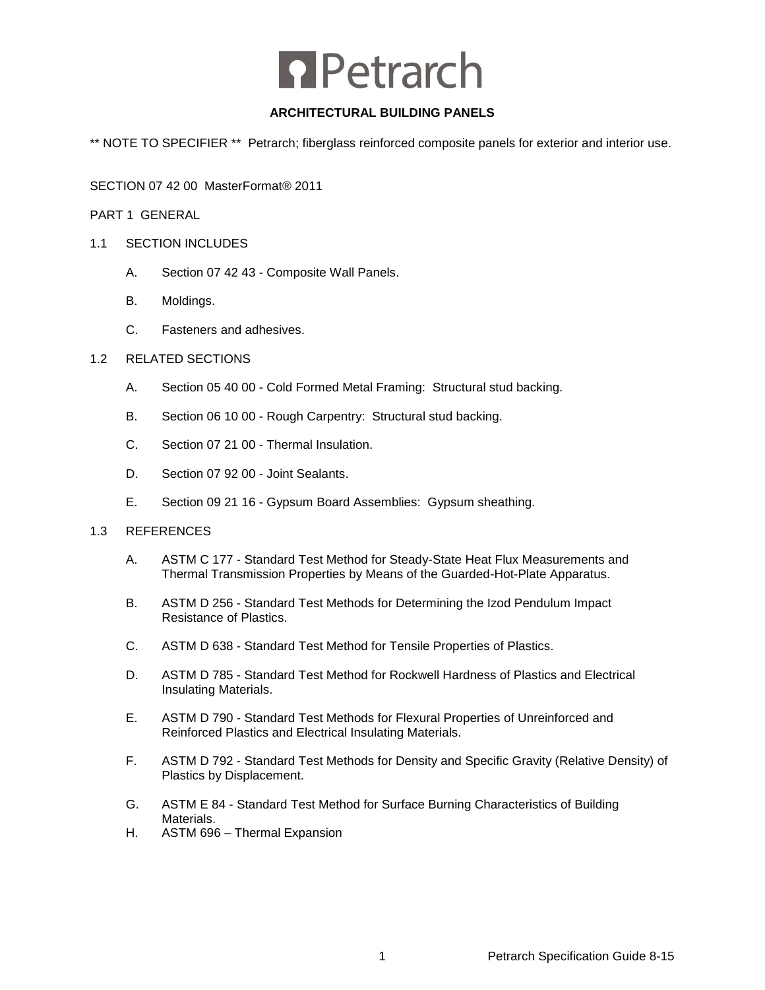# **n** Petrarch

# **ARCHITECTURAL BUILDING PANELS**

\*\* NOTE TO SPECIFIER \*\* Petrarch; fiberglass reinforced composite panels for exterior and interior use.

SECTION 07 42 00 MasterFormat® 2011

PART 1 GENERAL

# 1.1 SECTION INCLUDES

- A. Section 07 42 43 Composite Wall Panels.
- B. Moldings.
- C. Fasteners and adhesives.

# 1.2 RELATED SECTIONS

- A. Section 05 40 00 Cold Formed Metal Framing: Structural stud backing.
- B. Section 06 10 00 Rough Carpentry: Structural stud backing.
- C. Section 07 21 00 Thermal Insulation.
- D. Section 07 92 00 Joint Sealants.
- E. Section 09 21 16 Gypsum Board Assemblies: Gypsum sheathing.

# 1.3 REFERENCES

- A. ASTM C 177 Standard Test Method for Steady-State Heat Flux Measurements and Thermal Transmission Properties by Means of the Guarded-Hot-Plate Apparatus.
- B. ASTM D 256 Standard Test Methods for Determining the Izod Pendulum Impact Resistance of Plastics.
- C. ASTM D 638 Standard Test Method for Tensile Properties of Plastics.
- D. ASTM D 785 Standard Test Method for Rockwell Hardness of Plastics and Electrical Insulating Materials.
- E. ASTM D 790 Standard Test Methods for Flexural Properties of Unreinforced and Reinforced Plastics and Electrical Insulating Materials.
- F. ASTM D 792 Standard Test Methods for Density and Specific Gravity (Relative Density) of Plastics by Displacement.
- G. ASTM E 84 Standard Test Method for Surface Burning Characteristics of Building Materials.
- H. ASTM 696 Thermal Expansion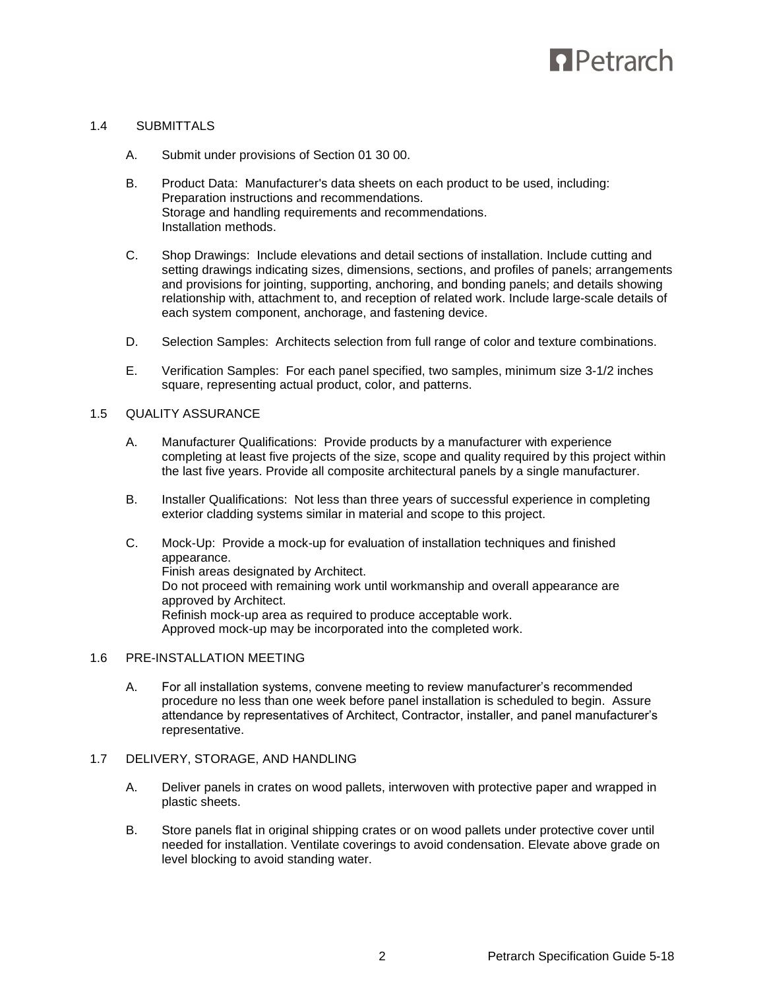# **D** Petrarch

# 1.4 SUBMITTALS

- A. Submit under provisions of Section 01 30 00.
- B. Product Data: Manufacturer's data sheets on each product to be used, including: Preparation instructions and recommendations. Storage and handling requirements and recommendations. Installation methods.
- C. Shop Drawings: Include elevations and detail sections of installation. Include cutting and setting drawings indicating sizes, dimensions, sections, and profiles of panels; arrangements and provisions for jointing, supporting, anchoring, and bonding panels; and details showing relationship with, attachment to, and reception of related work. Include large-scale details of each system component, anchorage, and fastening device.
- D. Selection Samples: Architects selection from full range of color and texture combinations.
- E. Verification Samples: For each panel specified, two samples, minimum size 3-1/2 inches square, representing actual product, color, and patterns.

# 1.5 QUALITY ASSURANCE

- A. Manufacturer Qualifications: Provide products by a manufacturer with experience completing at least five projects of the size, scope and quality required by this project within the last five years. Provide all composite architectural panels by a single manufacturer.
- B. Installer Qualifications: Not less than three years of successful experience in completing exterior cladding systems similar in material and scope to this project.
- C. Mock-Up: Provide a mock-up for evaluation of installation techniques and finished appearance. Finish areas designated by Architect. Do not proceed with remaining work until workmanship and overall appearance are approved by Architect. Refinish mock-up area as required to produce acceptable work. Approved mock-up may be incorporated into the completed work.

# 1.6 PRE-INSTALLATION MEETING

A. For all installation systems, convene meeting to review manufacturer's recommended procedure no less than one week before panel installation is scheduled to begin. Assure attendance by representatives of Architect, Contractor, installer, and panel manufacturer's representative.

# 1.7 DELIVERY, STORAGE, AND HANDLING

- A. Deliver panels in crates on wood pallets, interwoven with protective paper and wrapped in plastic sheets.
- B. Store panels flat in original shipping crates or on wood pallets under protective cover until needed for installation. Ventilate coverings to avoid condensation. Elevate above grade on level blocking to avoid standing water.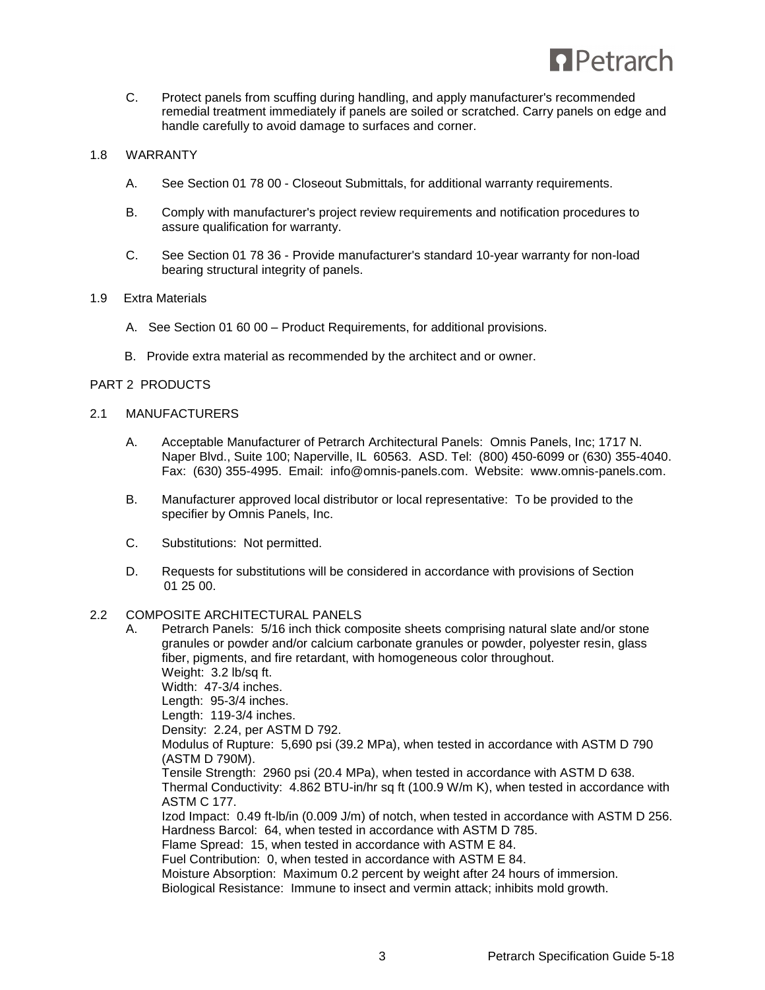

C. Protect panels from scuffing during handling, and apply manufacturer's recommended remedial treatment immediately if panels are soiled or scratched. Carry panels on edge and handle carefully to avoid damage to surfaces and corner.

# 1.8 WARRANTY

- A. See Section 01 78 00 Closeout Submittals, for additional warranty requirements.
- B. Comply with manufacturer's project review requirements and notification procedures to assure qualification for warranty.
- C. See Section 01 78 36 Provide manufacturer's standard 10-year warranty for non-load bearing structural integrity of panels.

#### 1.9 Extra Materials

- A. See Section 01 60 00 Product Requirements, for additional provisions.
- B. Provide extra material as recommended by the architect and or owner.

# PART 2 PRODUCTS

#### 2.1 MANUFACTURERS

- A. Acceptable Manufacturer of Petrarch Architectural Panels: Omnis Panels, Inc; 1717 N. Naper Blvd., Suite 100; Naperville, IL 60563. ASD. Tel: (800) 450-6099 or (630) 355-4040. Fax: (630) 355-4995. Email: info@omnis-panels.com. Website: www.omnis-panels.com.
- B. Manufacturer approved local distributor or local representative: To be provided to the specifier by Omnis Panels, Inc.
- C. Substitutions: Not permitted.
- D. Requests for substitutions will be considered in accordance with provisions of Section 01 25 00.

#### 2.2 COMPOSITE ARCHITECTURAL PANELS

A. Petrarch Panels: 5/16 inch thick composite sheets comprising natural slate and/or stone granules or powder and/or calcium carbonate granules or powder, polyester resin, glass fiber, pigments, and fire retardant, with homogeneous color throughout. Weight: 3.2 lb/sq ft. Width: 47-3/4 inches. Length: 95-3/4 inches. Length: 119-3/4 inches. Density: 2.24, per ASTM D 792. Modulus of Rupture: 5,690 psi (39.2 MPa), when tested in accordance with ASTM D 790 (ASTM D 790M). Tensile Strength: 2960 psi (20.4 MPa), when tested in accordance with ASTM D 638. Thermal Conductivity: 4.862 BTU-in/hr sq ft (100.9 W/m K), when tested in accordance with ASTM C 177. Izod Impact: 0.49 ft-lb/in (0.009 J/m) of notch, when tested in accordance with ASTM D 256. Hardness Barcol: 64, when tested in accordance with ASTM D 785. Flame Spread: 15, when tested in accordance with ASTM E 84. Fuel Contribution: 0, when tested in accordance with ASTM E 84. Moisture Absorption: Maximum 0.2 percent by weight after 24 hours of immersion. Biological Resistance: Immune to insect and vermin attack; inhibits mold growth.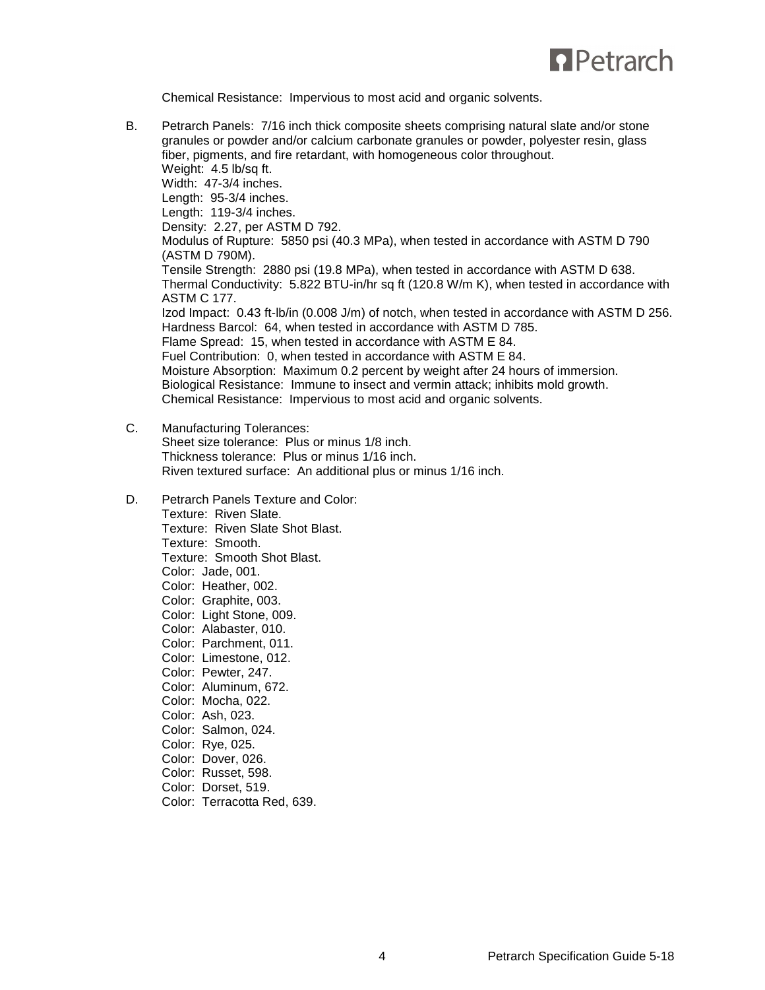

Chemical Resistance: Impervious to most acid and organic solvents.

B. Petrarch Panels: 7/16 inch thick composite sheets comprising natural slate and/or stone granules or powder and/or calcium carbonate granules or powder, polyester resin, glass fiber, pigments, and fire retardant, with homogeneous color throughout. Weight: 4.5 lb/sq ft. Width: 47-3/4 inches. Length: 95-3/4 inches. Length: 119-3/4 inches. Density: 2.27, per ASTM D 792. Modulus of Rupture: 5850 psi (40.3 MPa), when tested in accordance with ASTM D 790 (ASTM D 790M). Tensile Strength: 2880 psi (19.8 MPa), when tested in accordance with ASTM D 638. Thermal Conductivity: 5.822 BTU-in/hr sq ft (120.8 W/m K), when tested in accordance with ASTM C 177. Izod Impact: 0.43 ft-lb/in (0.008 J/m) of notch, when tested in accordance with ASTM D 256. Hardness Barcol: 64, when tested in accordance with ASTM D 785. Flame Spread: 15, when tested in accordance with ASTM E 84. Fuel Contribution: 0, when tested in accordance with ASTM E 84. Moisture Absorption: Maximum 0.2 percent by weight after 24 hours of immersion. Biological Resistance: Immune to insect and vermin attack; inhibits mold growth. Chemical Resistance: Impervious to most acid and organic solvents.

# C. Manufacturing Tolerances:

Sheet size tolerance: Plus or minus 1/8 inch. Thickness tolerance: Plus or minus 1/16 inch. Riven textured surface: An additional plus or minus 1/16 inch.

D. Petrarch Panels Texture and Color:

Texture: Riven Slate. Texture: Riven Slate Shot Blast. Texture: Smooth. Texture: Smooth Shot Blast. Color: Jade, 001. Color: Heather, 002. Color: Graphite, 003. Color: Light Stone, 009. Color: Alabaster, 010. Color: Parchment, 011. Color: Limestone, 012. Color: Pewter, 247. Color: Aluminum, 672. Color: Mocha, 022. Color: Ash, 023. Color: Salmon, 024. Color: Rye, 025. Color: Dover, 026. Color: Russet, 598.

- Color: Dorset, 519.
- Color: Terracotta Red, 639.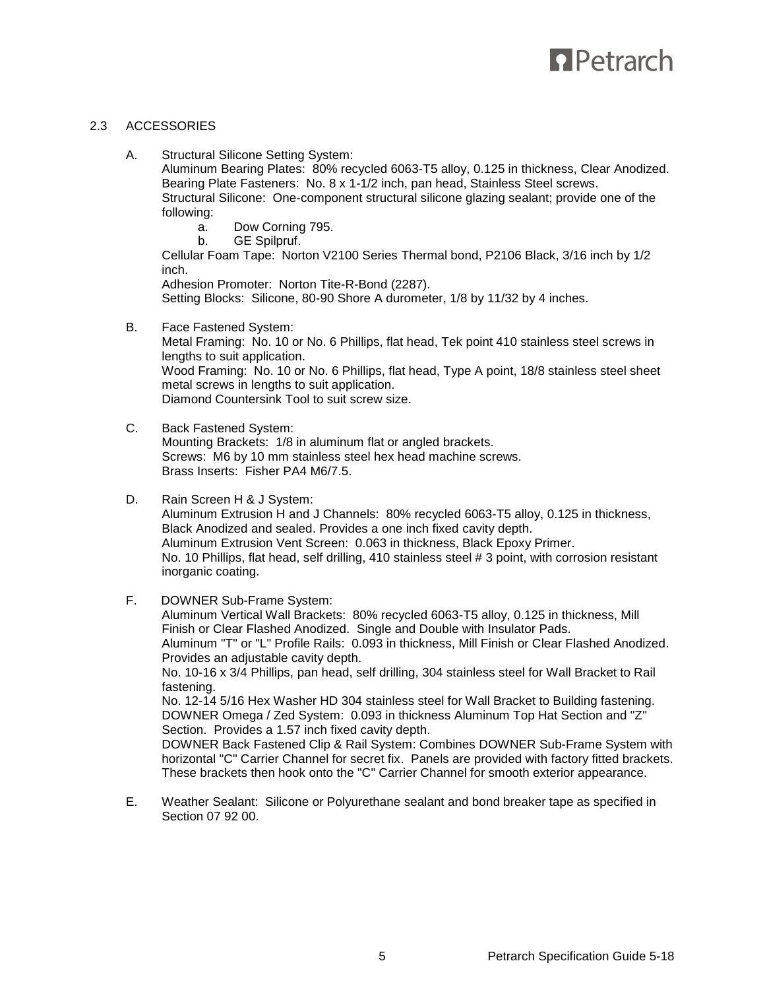# **D** Petrarch

# 2.3 ACCESSORIES

A. Structural Silicone Setting System: Aluminum Bearing Plates: 80% recycled 6063-T5 alloy, 0.125 in thickness, Clear Anodized. Bearing Plate Fasteners: No. 8 x 1-1/2 inch, pan head, Stainless Steel screws. Structural Silicone: One-component structural silicone glazing sealant; provide one of the following: a. Dow Corning 795. b. GE Spilpruf. Cellular Foam Tape: Norton V2100 Series Thermal bond, P2106 Black, 3/16 inch by 1/2 inch. Adhesion Promoter: Norton Tite-R-Bond (2287). Setting Blocks: Silicone, 80-90 Shore A durometer, 1/8 by 11/32 by 4 inches. B. Face Fastened System: Metal Framing: No. 10 or No. 6 Phillips, flat head, Tek point 410 stainless steel screws in lengths to suit application.

Wood Framing: No. 10 or No. 6 Phillips, flat head, Type A point, 18/8 stainless steel sheet metal screws in lengths to suit application. Diamond Countersink Tool to suit screw size.

C. Back Fastened System:

Mounting Brackets: 1/8 in aluminum flat or angled brackets. Screws: M6 by 10 mm stainless steel hex head machine screws. Brass Inserts: Fisher PA4 M6/7.5.

- D. Rain Screen H & J System: Aluminum Extrusion H and J Channels: 80% recycled 6063-T5 alloy, 0.125 in thickness, Black Anodized and sealed. Provides a one inch fixed cavity depth. Aluminum Extrusion Vent Screen: 0.063 in thickness, Black Epoxy Primer. No. 10 Phillips, flat head, self drilling, 410 stainless steel # 3 point, with corrosion resistant inorganic coating.
- F. DOWNER Sub-Frame System:

Aluminum Vertical Wall Brackets: 80% recycled 6063-T5 alloy, 0.125 in thickness, Mill Finish or Clear Flashed Anodized. Single and Double with Insulator Pads. Aluminum "T" or "L" Profile Rails: 0.093 in thickness, Mill Finish or Clear Flashed Anodized. Provides an adjustable cavity depth. No. 10-16 x 3/4 Phillips, pan head, self drilling, 304 stainless steel for Wall Bracket to Rail fastening. No. 12-14 5/16 Hex Washer HD 304 stainless steel for Wall Bracket to Building fastening. DOWNER Omega / Zed System: 0.093 in thickness Aluminum Top Hat Section and "Z" Section. Provides a 1.57 inch fixed cavity depth. DOWNER Back Fastened Clip & Rail System: Combines DOWNER Sub-Frame System with horizontal "C" Carrier Channel for secret fix. Panels are provided with factory fitted brackets. These brackets then hook onto the "C" Carrier Channel for smooth exterior appearance.

E. Weather Sealant: Silicone or Polyurethane sealant and bond breaker tape as specified in Section 07 92 00.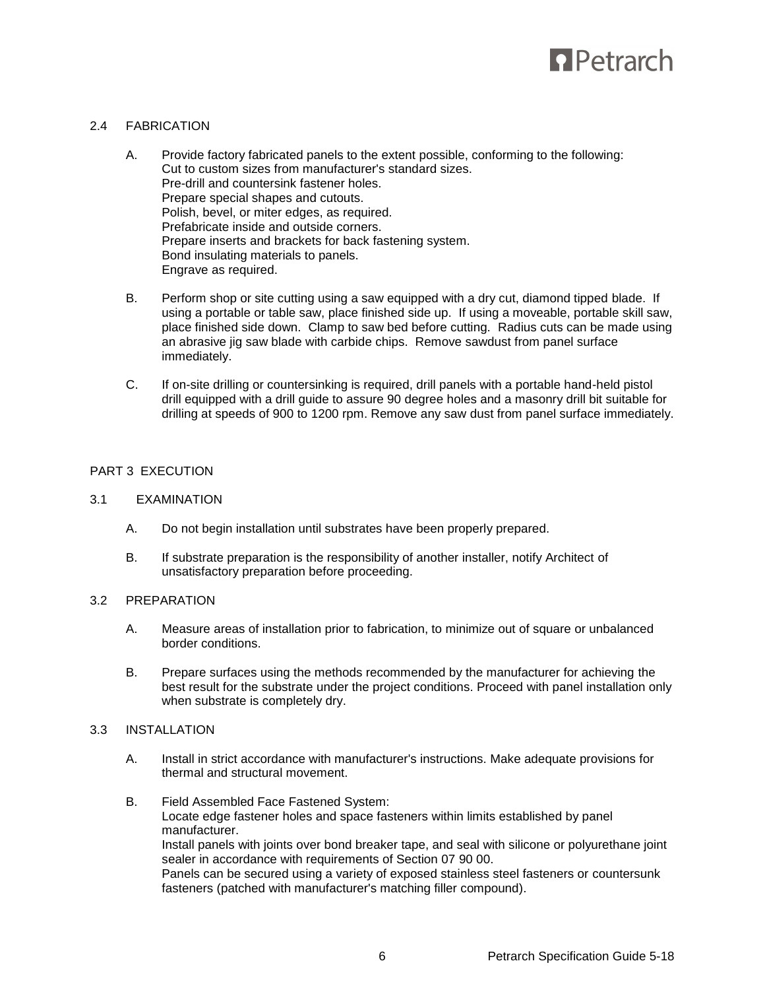

# 2.4 FABRICATION

- A. Provide factory fabricated panels to the extent possible, conforming to the following: Cut to custom sizes from manufacturer's standard sizes. Pre-drill and countersink fastener holes. Prepare special shapes and cutouts. Polish, bevel, or miter edges, as required. Prefabricate inside and outside corners. Prepare inserts and brackets for back fastening system. Bond insulating materials to panels. Engrave as required.
- B. Perform shop or site cutting using a saw equipped with a dry cut, diamond tipped blade. If using a portable or table saw, place finished side up. If using a moveable, portable skill saw, place finished side down. Clamp to saw bed before cutting. Radius cuts can be made using an abrasive jig saw blade with carbide chips. Remove sawdust from panel surface immediately.
- C. If on-site drilling or countersinking is required, drill panels with a portable hand-held pistol drill equipped with a drill guide to assure 90 degree holes and a masonry drill bit suitable for drilling at speeds of 900 to 1200 rpm. Remove any saw dust from panel surface immediately.

# PART 3 EXECUTION

# 3.1 EXAMINATION

- A. Do not begin installation until substrates have been properly prepared.
- B. If substrate preparation is the responsibility of another installer, notify Architect of unsatisfactory preparation before proceeding.

# 3.2 PREPARATION

- A. Measure areas of installation prior to fabrication, to minimize out of square or unbalanced border conditions.
- B. Prepare surfaces using the methods recommended by the manufacturer for achieving the best result for the substrate under the project conditions. Proceed with panel installation only when substrate is completely dry.
- 3.3 INSTALLATION
	- A. Install in strict accordance with manufacturer's instructions. Make adequate provisions for thermal and structural movement.
	- B. Field Assembled Face Fastened System: Locate edge fastener holes and space fasteners within limits established by panel manufacturer. Install panels with joints over bond breaker tape, and seal with silicone or polyurethane joint sealer in accordance with requirements of Section 07 90 00. Panels can be secured using a variety of exposed stainless steel fasteners or countersunk fasteners (patched with manufacturer's matching filler compound).